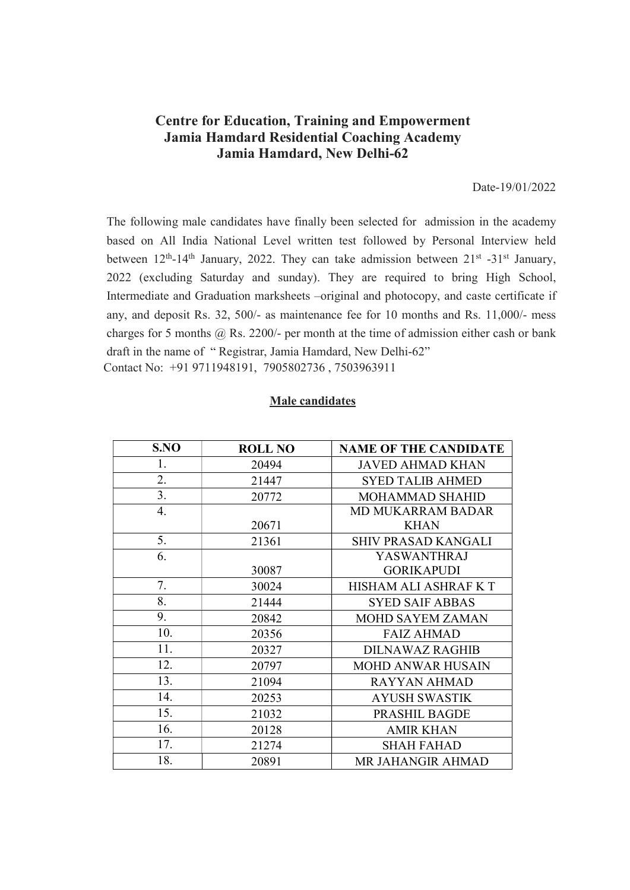## Centre for Education, Training and Empowerment Jamia Hamdard Residential Coaching Academy Jamia Hamdard, New Delhi-62

## Date-19/01/2022

The following male candidates have finally been selected for admission in the academy based on All India National Level written test followed by Personal Interview held between 12<sup>th</sup>-14<sup>th</sup> January, 2022. They can take admission between 21<sup>st</sup> -31<sup>st</sup> January, 2022 (excluding Saturday and sunday). They are required to bring High School, Intermediate and Graduation marksheets –original and photocopy, and caste certificate if any, and deposit Rs. 32, 500/- as maintenance fee for 10 months and Rs. 11,000/- mess charges for 5 months  $(a)$  Rs. 2200/- per month at the time of admission either cash or bank draft in the name of " Registrar, Jamia Hamdard, New Delhi-62" Contact No: +91 9711948191, 7905802736 , 7503963911

## Male candidates

| S.NO | <b>ROLL NO</b> | <b>NAME OF THE CANDIDATE</b> |
|------|----------------|------------------------------|
| 1.   | 20494          | <b>JAVED AHMAD KHAN</b>      |
| 2.   | 21447          | <b>SYED TALIB AHMED</b>      |
| 3.   | 20772          | MOHAMMAD SHAHID              |
| 4.   |                | <b>MD MUKARRAM BADAR</b>     |
|      | 20671          | <b>KHAN</b>                  |
| 5.   | 21361          | <b>SHIV PRASAD KANGALI</b>   |
| 6.   |                | <b>YASWANTHRAJ</b>           |
|      | 30087          | <b>GORIKAPUDI</b>            |
| 7.   | 30024          | HISHAM ALI ASHRAF KT         |
| 8.   | 21444          | <b>SYED SAIF ABBAS</b>       |
| 9.   | 20842          | <b>MOHD SAYEM ZAMAN</b>      |
| 10.  | 20356          | <b>FAIZ AHMAD</b>            |
| 11.  | 20327          | <b>DILNAWAZ RAGHIB</b>       |
| 12.  | 20797          | <b>MOHD ANWAR HUSAIN</b>     |
| 13.  | 21094          | <b>RAYYAN AHMAD</b>          |
| 14.  | 20253          | <b>AYUSH SWASTIK</b>         |
| 15.  | 21032          | PRASHIL BAGDE                |
| 16.  | 20128          | <b>AMIR KHAN</b>             |
| 17.  | 21274          | <b>SHAH FAHAD</b>            |
| 18.  | 20891          | MR JAHANGIR AHMAD            |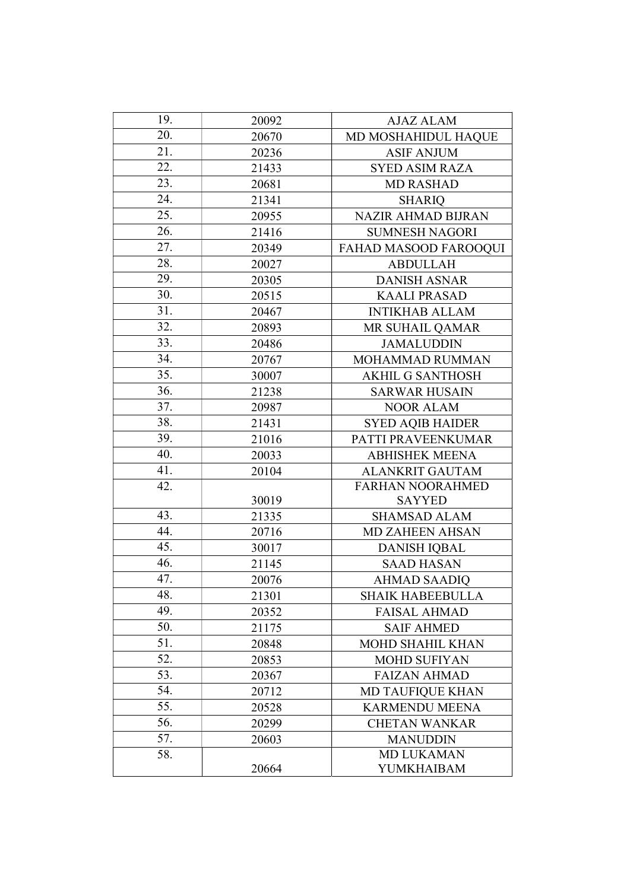| 19.              | 20092 | AJAZ ALAM                 |
|------------------|-------|---------------------------|
| 20.              | 20670 | MD MOSHAHIDUL HAQUE       |
| 21.              | 20236 | <b>ASIF ANJUM</b>         |
| 22.              | 21433 | <b>SYED ASIM RAZA</b>     |
| 23.              | 20681 | <b>MD RASHAD</b>          |
| 24.              | 21341 | <b>SHARIQ</b>             |
| 25.              | 20955 | <b>NAZIR AHMAD BIJRAN</b> |
| 26.              | 21416 | <b>SUMNESH NAGORI</b>     |
| 27.              | 20349 | FAHAD MASOOD FAROOQUI     |
| 28.              | 20027 | <b>ABDULLAH</b>           |
| 29.              | 20305 | <b>DANISH ASNAR</b>       |
| 30.              | 20515 | <b>KAALI PRASAD</b>       |
| 31.              | 20467 | <b>INTIKHAB ALLAM</b>     |
| 32.              | 20893 | MR SUHAIL QAMAR           |
| 33.              | 20486 | <b>JAMALUDDIN</b>         |
| 34.              | 20767 | MOHAMMAD RUMMAN           |
| 35.              | 30007 | <b>AKHIL G SANTHOSH</b>   |
| 36.              | 21238 | <b>SARWAR HUSAIN</b>      |
| 37.              | 20987 | <b>NOOR ALAM</b>          |
| 38.              | 21431 | <b>SYED AQIB HAIDER</b>   |
| 39.              | 21016 | PATTI PRAVEENKUMAR        |
| 40.              | 20033 | <b>ABHISHEK MEENA</b>     |
| 41.              | 20104 | <b>ALANKRIT GAUTAM</b>    |
| 42.              |       | <b>FARHAN NOORAHMED</b>   |
|                  | 30019 | <b>SAYYED</b>             |
| 43.              | 21335 | <b>SHAMSAD ALAM</b>       |
| 44.              | 20716 | <b>MD ZAHEEN AHSAN</b>    |
| 45.              | 30017 | <b>DANISH IQBAL</b>       |
| 46.              | 21145 | <b>SAAD HASAN</b>         |
| $\overline{4}7.$ | 20076 | <b>AHMAD SAADIQ</b>       |
| 48.              | 21301 | <b>SHAIK HABEEBULLA</b>   |
| 49.              | 20352 | <b>FAISAL AHMAD</b>       |
| 50.              | 21175 | <b>SAIF AHMED</b>         |
| 51.              | 20848 | <b>MOHD SHAHIL KHAN</b>   |
| 52.              | 20853 | <b>MOHD SUFIYAN</b>       |
| 53.              | 20367 | <b>FAIZAN AHMAD</b>       |
| 54.              | 20712 | <b>MD TAUFIQUE KHAN</b>   |
| 55.              | 20528 | <b>KARMENDU MEENA</b>     |
| 56.              | 20299 | <b>CHETAN WANKAR</b>      |
| 57.              | 20603 | <b>MANUDDIN</b>           |
| 58.              |       | <b>MD LUKAMAN</b>         |
|                  | 20664 | YUMKHAIBAM                |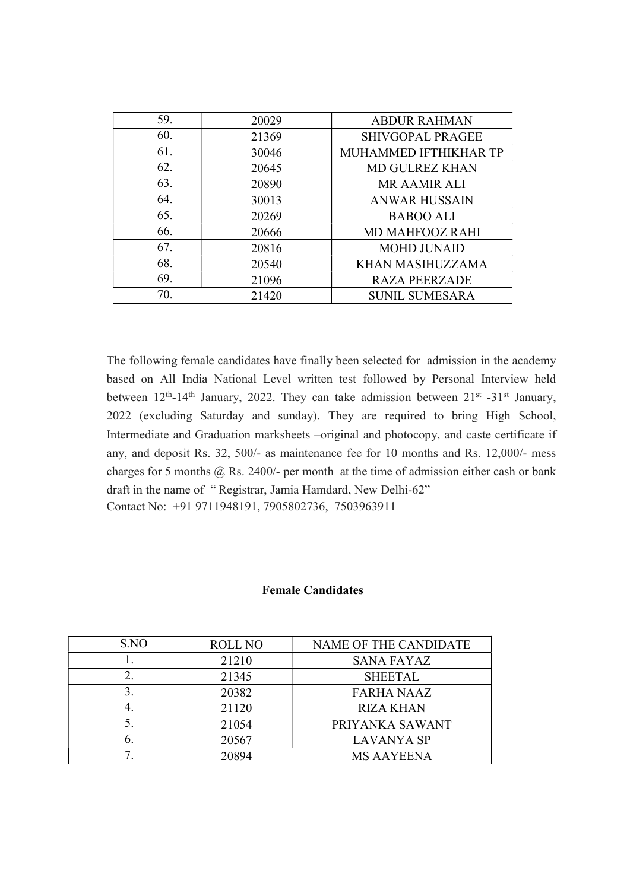| 59. | 20029 | <b>ABDUR RAHMAN</b>     |
|-----|-------|-------------------------|
| 60. | 21369 | <b>SHIVGOPAL PRAGEE</b> |
| 61. | 30046 | MUHAMMED IFTHIKHAR TP   |
| 62. | 20645 | <b>MD GULREZ KHAN</b>   |
| 63. | 20890 | <b>MR AAMIR ALI</b>     |
| 64. | 30013 | <b>ANWAR HUSSAIN</b>    |
| 65. | 20269 | <b>BABOO ALI</b>        |
| 66. | 20666 | <b>MD MAHFOOZ RAHI</b>  |
| 67. | 20816 | <b>MOHD JUNAID</b>      |
| 68. | 20540 | KHAN MASIHUZZAMA        |
| 69. | 21096 | <b>RAZA PEERZADE</b>    |
| 70. | 21420 | <b>SUNIL SUMESARA</b>   |

The following female candidates have finally been selected for admission in the academy based on All India National Level written test followed by Personal Interview held between 12<sup>th</sup>-14<sup>th</sup> January, 2022. They can take admission between 21<sup>st</sup> -31<sup>st</sup> January, 2022 (excluding Saturday and sunday). They are required to bring High School, Intermediate and Graduation marksheets –original and photocopy, and caste certificate if any, and deposit Rs. 32, 500/- as maintenance fee for 10 months and Rs. 12,000/- mess charges for 5 months  $\omega$  Rs. 2400/- per month at the time of admission either cash or bank draft in the name of " Registrar, Jamia Hamdard, New Delhi-62" Contact No: +91 9711948191, 7905802736, 7503963911

## Female Candidates

| S.NO | <b>ROLL NO</b> | NAME OF THE CANDIDATE |
|------|----------------|-----------------------|
|      | 21210          | <b>SANA FAYAZ</b>     |
|      | 21345          | <b>SHEETAL</b>        |
|      | 20382          | <b>FARHA NAAZ</b>     |
|      | 21120          | <b>RIZA KHAN</b>      |
|      | 21054          | PRIYANKA SAWANT       |
| O.   | 20567          | LAVANYA SP            |
|      | 20894          | <b>MS AAYEENA</b>     |